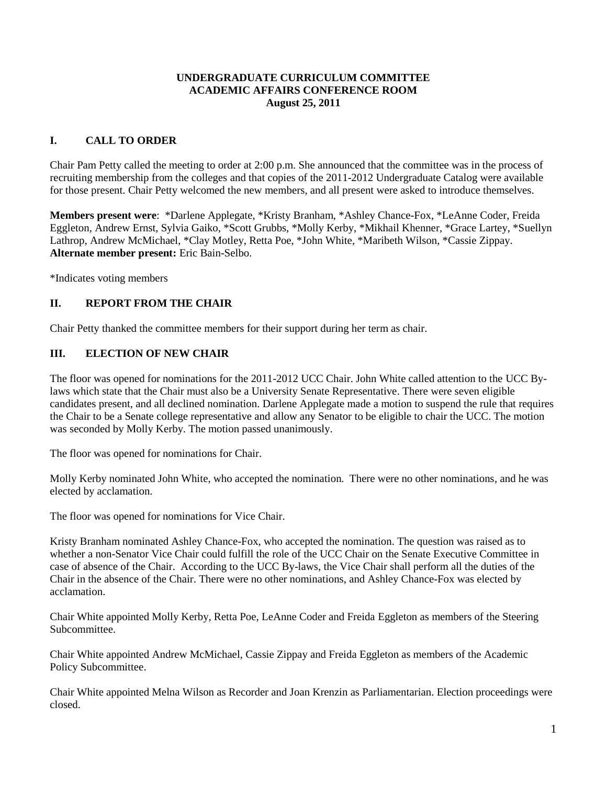#### **UNDERGRADUATE CURRICULUM COMMITTEE ACADEMIC AFFAIRS CONFERENCE ROOM August 25, 2011**

#### **I. CALL TO ORDER**

Chair Pam Petty called the meeting to order at 2:00 p.m. She announced that the committee was in the process of recruiting membership from the colleges and that copies of the 2011-2012 Undergraduate Catalog were available for those present. Chair Petty welcomed the new members, and all present were asked to introduce themselves.

**Members present were**: \*Darlene Applegate, \*Kristy Branham, \*Ashley Chance-Fox, \*LeAnne Coder, Freida Eggleton, Andrew Ernst, Sylvia Gaiko, \*Scott Grubbs, \*Molly Kerby, \*Mikhail Khenner, \*Grace Lartey, \*Suellyn Lathrop, Andrew McMichael, \*Clay Motley, Retta Poe, \*John White, \*Maribeth Wilson, \*Cassie Zippay. **Alternate member present:** Eric Bain-Selbo.

\*Indicates voting members

## **II. REPORT FROM THE CHAIR**

Chair Petty thanked the committee members for their support during her term as chair.

#### **III. ELECTION OF NEW CHAIR**

The floor was opened for nominations for the 2011-2012 UCC Chair. John White called attention to the UCC Bylaws which state that the Chair must also be a University Senate Representative. There were seven eligible candidates present, and all declined nomination. Darlene Applegate made a motion to suspend the rule that requires the Chair to be a Senate college representative and allow any Senator to be eligible to chair the UCC. The motion was seconded by Molly Kerby. The motion passed unanimously.

The floor was opened for nominations for Chair.

Molly Kerby nominated John White, who accepted the nomination. There were no other nominations, and he was elected by acclamation.

The floor was opened for nominations for Vice Chair.

Kristy Branham nominated Ashley Chance-Fox, who accepted the nomination. The question was raised as to whether a non-Senator Vice Chair could fulfill the role of the UCC Chair on the Senate Executive Committee in case of absence of the Chair. According to the UCC By-laws, the Vice Chair shall perform all the duties of the Chair in the absence of the Chair. There were no other nominations, and Ashley Chance-Fox was elected by acclamation.

Chair White appointed Molly Kerby, Retta Poe, LeAnne Coder and Freida Eggleton as members of the Steering Subcommittee.

Chair White appointed Andrew McMichael, Cassie Zippay and Freida Eggleton as members of the Academic Policy Subcommittee.

Chair White appointed Melna Wilson as Recorder and Joan Krenzin as Parliamentarian. Election proceedings were closed.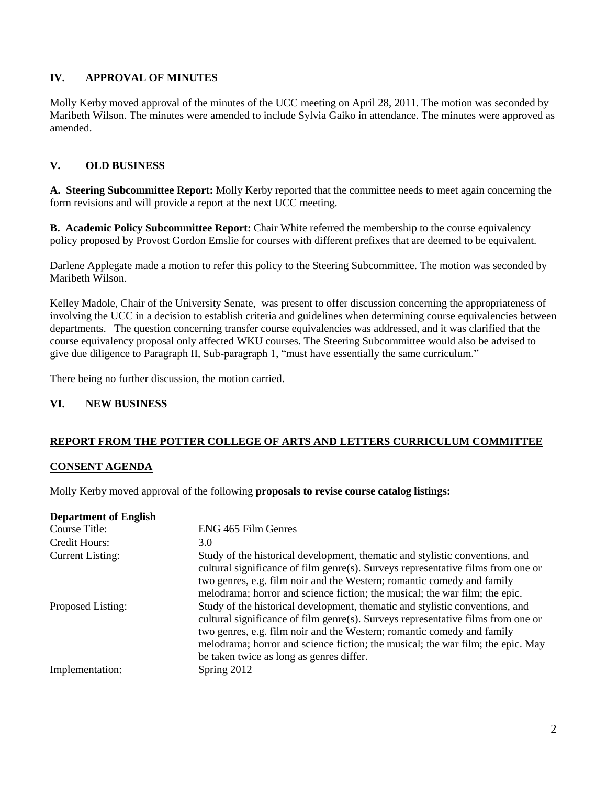## **IV. APPROVAL OF MINUTES**

Molly Kerby moved approval of the minutes of the UCC meeting on April 28, 2011. The motion was seconded by Maribeth Wilson. The minutes were amended to include Sylvia Gaiko in attendance. The minutes were approved as amended.

## **V. OLD BUSINESS**

**A. Steering Subcommittee Report:** Molly Kerby reported that the committee needs to meet again concerning the form revisions and will provide a report at the next UCC meeting.

**B. Academic Policy Subcommittee Report:** Chair White referred the membership to the course equivalency policy proposed by Provost Gordon Emslie for courses with different prefixes that are deemed to be equivalent.

Darlene Applegate made a motion to refer this policy to the Steering Subcommittee. The motion was seconded by Maribeth Wilson.

Kelley Madole, Chair of the University Senate, was present to offer discussion concerning the appropriateness of involving the UCC in a decision to establish criteria and guidelines when determining course equivalencies between departments. The question concerning transfer course equivalencies was addressed, and it was clarified that the course equivalency proposal only affected WKU courses. The Steering Subcommittee would also be advised to give due diligence to Paragraph II, Sub-paragraph 1, "must have essentially the same curriculum."

There being no further discussion, the motion carried.

#### **VI. NEW BUSINESS**

## **REPORT FROM THE POTTER COLLEGE OF ARTS AND LETTERS CURRICULUM COMMITTEE**

#### **CONSENT AGENDA**

Molly Kerby moved approval of the following **proposals to revise course catalog listings:**

| <b>Department of English</b> |                                                                                                                                                                                                                                                                                                                                                                           |
|------------------------------|---------------------------------------------------------------------------------------------------------------------------------------------------------------------------------------------------------------------------------------------------------------------------------------------------------------------------------------------------------------------------|
| Course Title:                | ENG 465 Film Genres                                                                                                                                                                                                                                                                                                                                                       |
| Credit Hours:                | 3.0                                                                                                                                                                                                                                                                                                                                                                       |
| <b>Current Listing:</b>      | Study of the historical development, thematic and stylistic conventions, and<br>cultural significance of film genre(s). Surveys representative films from one or<br>two genres, e.g. film noir and the Western; romantic comedy and family<br>melodrama; horror and science fiction; the musical; the war film; the epic.                                                 |
| Proposed Listing:            | Study of the historical development, thematic and stylistic conventions, and<br>cultural significance of film genre(s). Surveys representative films from one or<br>two genres, e.g. film noir and the Western; romantic comedy and family<br>melodrama; horror and science fiction; the musical; the war film; the epic. May<br>be taken twice as long as genres differ. |
| Implementation:              | Spring 2012                                                                                                                                                                                                                                                                                                                                                               |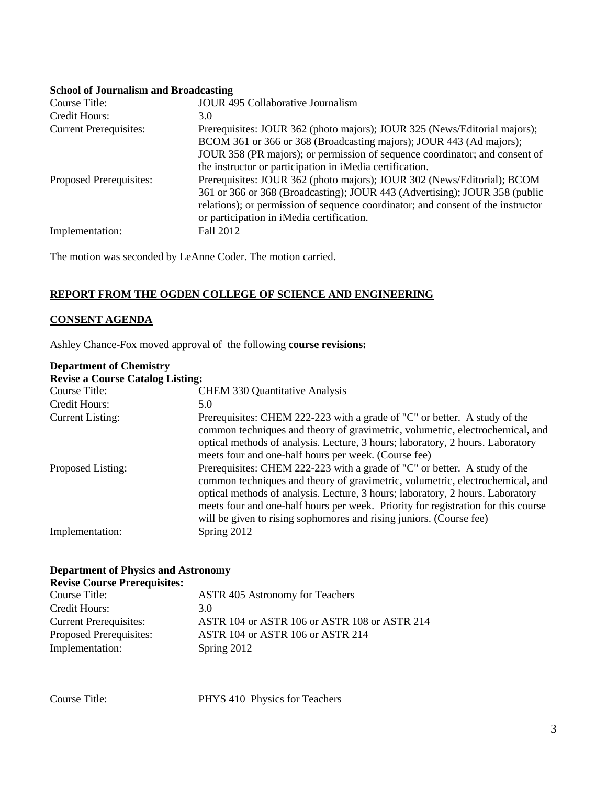# **School of Journalism and Broadcasting**

| Course Title:                 | <b>JOUR 495 Collaborative Journalism</b>                                                                                                                                                                                                                                                    |
|-------------------------------|---------------------------------------------------------------------------------------------------------------------------------------------------------------------------------------------------------------------------------------------------------------------------------------------|
| Credit Hours:                 | 3.0                                                                                                                                                                                                                                                                                         |
| <b>Current Prerequisites:</b> | Prerequisites: JOUR 362 (photo majors); JOUR 325 (News/Editorial majors);<br>BCOM 361 or 366 or 368 (Broadcasting majors); JOUR 443 (Ad majors);<br>JOUR 358 (PR majors); or permission of sequence coordinator; and consent of<br>the instructor or participation in iMedia certification. |
| Proposed Prerequisites:       | Prerequisites: JOUR 362 (photo majors); JOUR 302 (News/Editorial); BCOM<br>361 or 366 or 368 (Broadcasting); JOUR 443 (Advertising); JOUR 358 (public<br>relations); or permission of sequence coordinator; and consent of the instructor<br>or participation in iMedia certification.      |
| Implementation:               | Fall 2012                                                                                                                                                                                                                                                                                   |

The motion was seconded by LeAnne Coder. The motion carried.

#### **REPORT FROM THE OGDEN COLLEGE OF SCIENCE AND ENGINEERING**

#### **CONSENT AGENDA**

Ashley Chance-Fox moved approval of the following **course revisions:**

## **Department of Chemistry**

| <b>Revise a Course Catalog Listing:</b> |                                                                                                                                                                                                                                                                                                                                                                                                          |
|-----------------------------------------|----------------------------------------------------------------------------------------------------------------------------------------------------------------------------------------------------------------------------------------------------------------------------------------------------------------------------------------------------------------------------------------------------------|
| Course Title:                           | <b>CHEM 330 Quantitative Analysis</b>                                                                                                                                                                                                                                                                                                                                                                    |
| Credit Hours:                           | 5.0                                                                                                                                                                                                                                                                                                                                                                                                      |
| <b>Current Listing:</b>                 | Prerequisites: CHEM 222-223 with a grade of "C" or better. A study of the<br>common techniques and theory of gravimetric, volumetric, electrochemical, and<br>optical methods of analysis. Lecture, 3 hours; laboratory, 2 hours. Laboratory<br>meets four and one-half hours per week. (Course fee)                                                                                                     |
| Proposed Listing:                       | Prerequisites: CHEM 222-223 with a grade of "C" or better. A study of the<br>common techniques and theory of gravimetric, volumetric, electrochemical, and<br>optical methods of analysis. Lecture, 3 hours; laboratory, 2 hours. Laboratory<br>meets four and one-half hours per week. Priority for registration for this course<br>will be given to rising sophomores and rising juniors. (Course fee) |
| Implementation:                         | Spring 2012                                                                                                                                                                                                                                                                                                                                                                                              |

# **Department of Physics and Astronomy**

# **Revise Course Prerequisites:**

| Course Title:                 | <b>ASTR 405 Astronomy for Teachers</b>       |
|-------------------------------|----------------------------------------------|
| Credit Hours:                 | 3.0                                          |
| <b>Current Prerequisites:</b> | ASTR 104 or ASTR 106 or ASTR 108 or ASTR 214 |
| Proposed Prerequisites:       | ASTR 104 or ASTR 106 or ASTR 214             |
| Implementation:               | Spring 2012                                  |

Course Title: PHYS 410 Physics for Teachers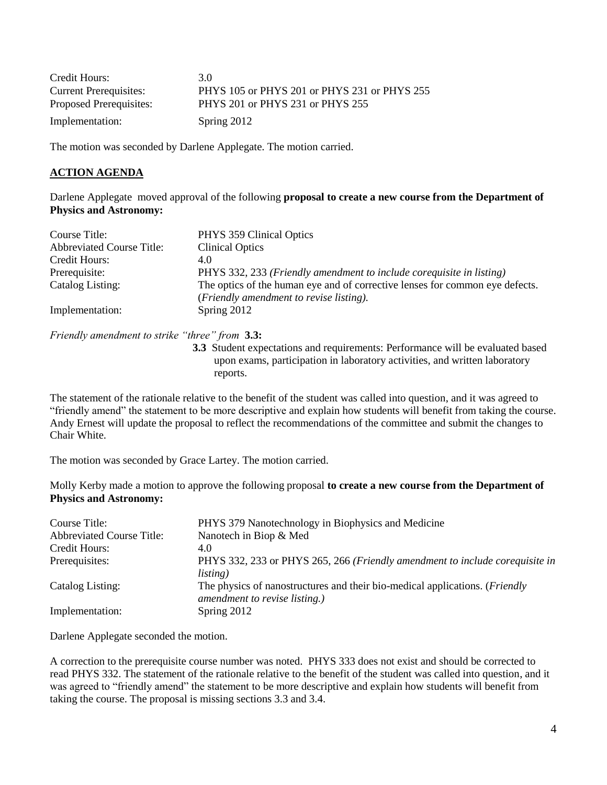| Credit Hours:                 | 3 O                                          |
|-------------------------------|----------------------------------------------|
| <b>Current Prerequisites:</b> | PHYS 105 or PHYS 201 or PHYS 231 or PHYS 255 |
| Proposed Prerequisites:       | PHYS 201 or PHYS 231 or PHYS 255             |
| Implementation:               | Spring 2012                                  |

The motion was seconded by Darlene Applegate. The motion carried.

## **ACTION AGENDA**

Darlene Applegate moved approval of the following **proposal to create a new course from the Department of Physics and Astronomy:**

| Course Title:                    | PHYS 359 Clinical Optics                                                     |
|----------------------------------|------------------------------------------------------------------------------|
| <b>Abbreviated Course Title:</b> | <b>Clinical Optics</b>                                                       |
| Credit Hours:                    | 4.0                                                                          |
| Prerequisite:                    | PHYS 332, 233 (Friendly amendment to include corequisite in listing)         |
| Catalog Listing:                 | The optics of the human eye and of corrective lenses for common eye defects. |
|                                  | (Friendly amendment to revise listing).                                      |
| Implementation:                  | Spring 2012                                                                  |

*Friendly amendment to strike "three" from* **3.3:** 

**3.3** Student expectations and requirements: Performance will be evaluated based upon exams, participation in laboratory activities, and written laboratory reports.

The statement of the rationale relative to the benefit of the student was called into question, and it was agreed to "friendly amend" the statement to be more descriptive and explain how students will benefit from taking the course. Andy Ernest will update the proposal to reflect the recommendations of the committee and submit the changes to Chair White.

The motion was seconded by Grace Lartey. The motion carried.

Molly Kerby made a motion to approve the following proposal **to create a new course from the Department of Physics and Astronomy:**

| Course Title:                    | PHYS 379 Nanotechnology in Biophysics and Medicine                                  |
|----------------------------------|-------------------------------------------------------------------------------------|
| <b>Abbreviated Course Title:</b> | Nanotech in Biop & Med                                                              |
| Credit Hours:                    | 4.0                                                                                 |
| Prerequisites:                   | PHYS 332, 233 or PHYS 265, 266 (Friendly amendment to include corequisite in        |
|                                  | <i>listing</i> )                                                                    |
| Catalog Listing:                 | The physics of nanostructures and their bio-medical applications. ( <i>Friendly</i> |
|                                  | amendment to revise listing.)                                                       |
| Implementation:                  | Spring 2012                                                                         |

Darlene Applegate seconded the motion.

A correction to the prerequisite course number was noted. PHYS 333 does not exist and should be corrected to read PHYS 332. The statement of the rationale relative to the benefit of the student was called into question, and it was agreed to "friendly amend" the statement to be more descriptive and explain how students will benefit from taking the course. The proposal is missing sections 3.3 and 3.4.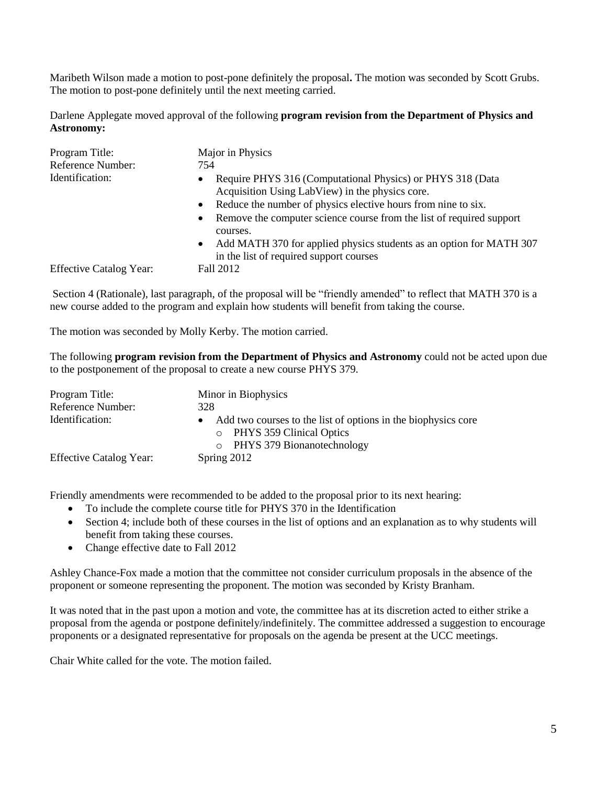Maribeth Wilson made a motion to post-pone definitely the proposal**.** The motion was seconded by Scott Grubs. The motion to post-pone definitely until the next meeting carried.

Darlene Applegate moved approval of the following **program revision from the Department of Physics and Astronomy:**

| Program Title:<br>Reference Number: | Major in Physics<br>754                                                                                        |
|-------------------------------------|----------------------------------------------------------------------------------------------------------------|
|                                     |                                                                                                                |
| Identification:                     | Require PHYS 316 (Computational Physics) or PHYS 318 (Data                                                     |
|                                     | Acquisition Using LabView) in the physics core.                                                                |
|                                     | Reduce the number of physics elective hours from nine to six.                                                  |
|                                     | Remove the computer science course from the list of required support<br>$\bullet$<br>courses.                  |
|                                     | Add MATH 370 for applied physics students as an option for MATH 307<br>in the list of required support courses |
| <b>Effective Catalog Year:</b>      | Fall 2012                                                                                                      |

Section 4 (Rationale), last paragraph, of the proposal will be "friendly amended" to reflect that MATH 370 is a new course added to the program and explain how students will benefit from taking the course.

The motion was seconded by Molly Kerby. The motion carried.

The following **program revision from the Department of Physics and Astronomy** could not be acted upon due to the postponement of the proposal to create a new course PHYS 379.

| Program Title:<br>Reference Number: | Minor in Biophysics<br>328                                                                                                  |
|-------------------------------------|-----------------------------------------------------------------------------------------------------------------------------|
| Identification:                     | Add two courses to the list of options in the biophysics core<br>o PHYS 359 Clinical Optics<br>o PHYS 379 Bionanotechnology |
| <b>Effective Catalog Year:</b>      | Spring 2012                                                                                                                 |

Friendly amendments were recommended to be added to the proposal prior to its next hearing:

- To include the complete course title for PHYS 370 in the Identification
- Section 4; include both of these courses in the list of options and an explanation as to why students will benefit from taking these courses.
- Change effective date to Fall 2012

Ashley Chance-Fox made a motion that the committee not consider curriculum proposals in the absence of the proponent or someone representing the proponent. The motion was seconded by Kristy Branham.

It was noted that in the past upon a motion and vote, the committee has at its discretion acted to either strike a proposal from the agenda or postpone definitely/indefinitely. The committee addressed a suggestion to encourage proponents or a designated representative for proposals on the agenda be present at the UCC meetings.

Chair White called for the vote. The motion failed.